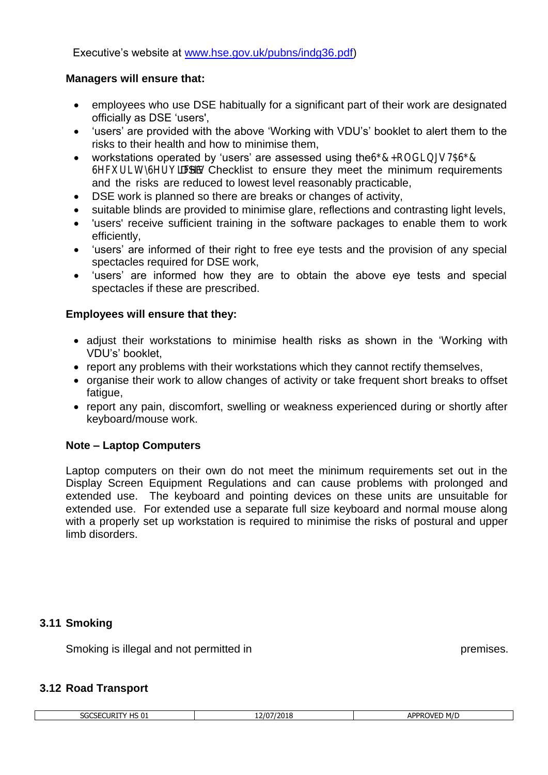Executive's website at [www.hse.gov.uk/pubns/indg36.pdf\)](http://www.hse.gov.uk/pubns/indg36.pdf)

### **Managers will ensure that:**

- employees who use DSE habitually for a significant part of their work are designated officially as DSE 'users',
- 'users' are provided with the above 'Working with VDU's' booklet to alert them to the risks to their health and how to minimise them,
- workstations operated by 'users' are assessed using the SGC Holdings TA SGC Security Services DSE Checklist to ensure they meet the minimum requirements and the risks are reduced to lowest level reasonably practicable,
- DSE work is planned so there are breaks or changes of activity,
- suitable blinds are provided to minimise glare, reflections and contrasting light levels,
- 'users' receive sufficient training in the software packages to enable them to work efficiently,
- 'users' are informed of their right to free eye tests and the provision of any special spectacles required for DSE work,
- 'users' are informed how they are to obtain the above eye tests and special spectacles if these are prescribed.

# **Employees will ensure that they:**

- adjust their workstations to minimise health risks as shown in the 'Working with VDU's' booklet,
- report any problems with their workstations which they cannot rectify themselves,
- organise their work to allow changes of activity or take frequent short breaks to offset fatigue,
- report any pain, discomfort, swelling or weakness experienced during or shortly after keyboard/mouse work.

# **Note – Laptop Computers**

Laptop computers on their own do not meet the minimum requirements set out in the Display Screen Equipment Regulations and can cause problems with prolonged and extended use. The keyboard and pointing devices on these units are unsuitable for extended use. For extended use a separate full size keyboard and normal mouse along with a properly set up workstation is required to minimise the risks of postural and upper limb disorders.

# **3.11 Smoking**

Smoking is illegal and not permitted in SGC Holdings TA SGC Security Services premises.

#### **3.12 Road Transport**

| 2/07/2018<br>M/L<br>$\sim$<br>$'$ HS 0 $\overline{1}$<br>APPROVE <sup>®</sup><br>_CURITY<br>$\cdot$<br>. .<br>כ ותוכ<br>- 1<br>'NU.<br>¬' |  |  |
|-------------------------------------------------------------------------------------------------------------------------------------------|--|--|
|                                                                                                                                           |  |  |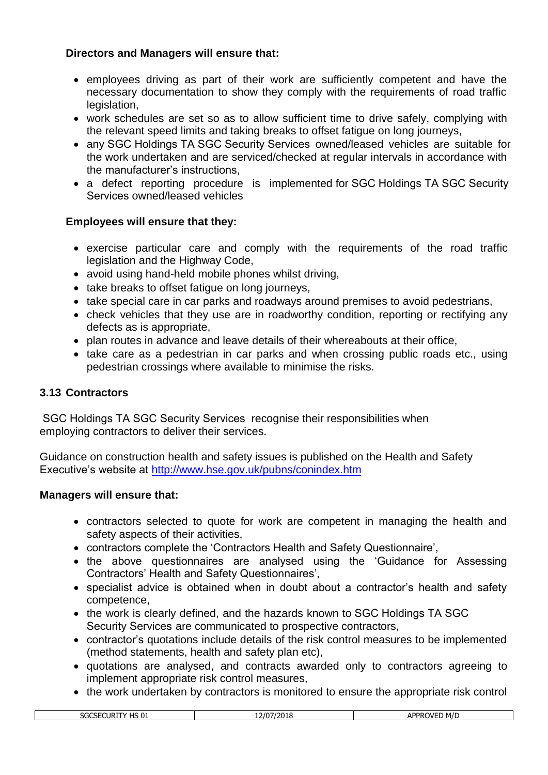# **Directors and Managers will ensure that:**

- employees driving as part of their work are sufficiently competent and have the necessary documentation to show they comply with the requirements of road traffic legislation,
- work schedules are set so as to allow sufficient time to drive safely, complying with the relevant speed limits and taking breaks to offset fatigue on long journeys,
- any SGC Holdings TA SGC Security Services owned/leased vehicles are suitable for the work undertaken and are serviced/checked at regular intervals in accordance with the manufacturer's instructions,
- a defect reporting procedure is implemented for SGC Holdings TA SGC Security Services owned/leased vehicles

# **Employees will ensure that they:**

- exercise particular care and comply with the requirements of the road traffic legislation and the Highway Code,
- avoid using hand-held mobile phones whilst driving,
- take breaks to offset fatique on long journeys,
- take special care in car parks and roadways around premises to avoid pedestrians,
- check vehicles that they use are in roadworthy condition, reporting or rectifying any defects as is appropriate,
- plan routes in advance and leave details of their whereabouts at their office,
- take care as a pedestrian in car parks and when crossing public roads etc., using pedestrian crossings where available to minimise the risks.

# **3.13 Contractors**

 SGC Holdings TA SGC Security Services recognise their responsibilities when employing contractors to deliver their services.

Guidance on construction health and safety issues is published on the Health and Safety Executive's website at<http://www.hse.gov.uk/pubns/conindex.htm>

#### **Managers will ensure that:**

- contractors selected to quote for work are competent in managing the health and safety aspects of their activities,
- contractors complete the 'Contractors Health and Safety Questionnaire',
- the above questionnaires are analysed using the 'Guidance for Assessing Contractors' Health and Safety Questionnaires',
- specialist advice is obtained when in doubt about a contractor's health and safety competence,
- the work is clearly defined, and the hazards known to SGC Holdings TA SGC Security Services are communicated to prospective contractors,
- contractor's quotations include details of the risk control measures to be implemented (method statements, health and safety plan etc),
- quotations are analysed, and contracts awarded only to contractors agreeing to implement appropriate risk control measures,
- the work undertaken by contractors is monitored to ensure the appropriate risk control

| $\sim$<br>הוו<br>71 T<br>ЭF<br>LUKI<br>υ⊥<br>. ט | ، ا ر<br>. .<br>-- | , M/ $\Gamma$<br>וחח י<br>ור<br>יי<br>17 L<br>-- |
|--------------------------------------------------|--------------------|--------------------------------------------------|
|                                                  |                    |                                                  |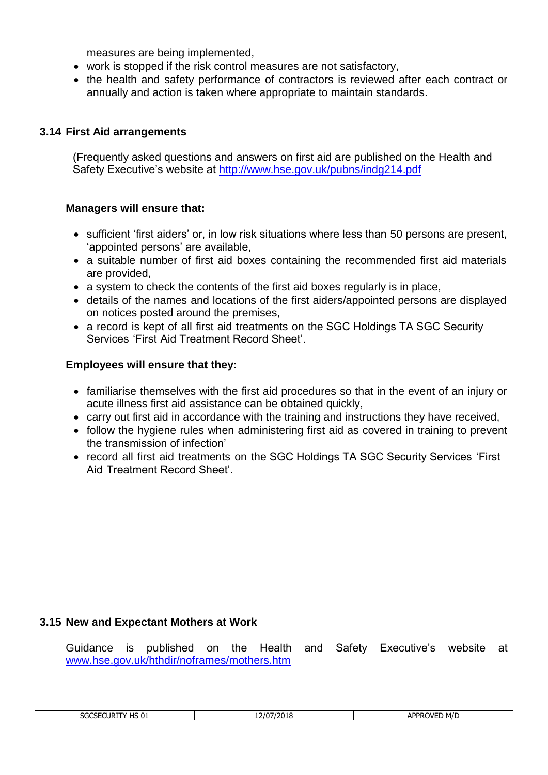measures are being implemented,

- work is stopped if the risk control measures are not satisfactory,
- the health and safety performance of contractors is reviewed after each contract or annually and action is taken where appropriate to maintain standards.

# **3.14 First Aid arrangements**

(Frequently asked questions and answers on first aid are published on the Health and Safety Executive's website at<http://www.hse.gov.uk/pubns/indg214.pdf>

#### **Managers will ensure that:**

- sufficient 'first aiders' or, in low risk situations where less than 50 persons are present, 'appointed persons' are available,
- a suitable number of first aid boxes containing the recommended first aid materials are provided,
- a system to check the contents of the first aid boxes regularly is in place,
- details of the names and locations of the first aiders/appointed persons are displayed on notices posted around the premises,
- a record is kept of all first aid treatments on the SGC Holdings TA SGC Security Services 'First Aid Treatment Record Sheet'.

#### **Employees will ensure that they:**

- familiarise themselves with the first aid procedures so that in the event of an injury or acute illness first aid assistance can be obtained quickly,
- carry out first aid in accordance with the training and instructions they have received,
- follow the hygiene rules when administering first aid as covered in training to prevent the transmission of infection'
- record all first aid treatments on the SGC Holdings TA SGC Security Services 'First Aid Treatment Record Sheet'.

#### **3.15 New and Expectant Mothers at Work**

Guidance is published on the Health and Safety Executive's website at [www.hse.gov.uk/hthdir/noframes/mothers.htm](http://www.hse.gov.uk/hthdir/noframes/mothers.htm)

| $\overline{\phantom{a}}$<br>SGCSECURIT<br>⊥ טי<br>◡ | 17019<br>רחו כ<br>-919<br> | M/E<br>≀ חממ<br>$\triangle$ N/FL.<br>ור<br>. |
|-----------------------------------------------------|----------------------------|----------------------------------------------|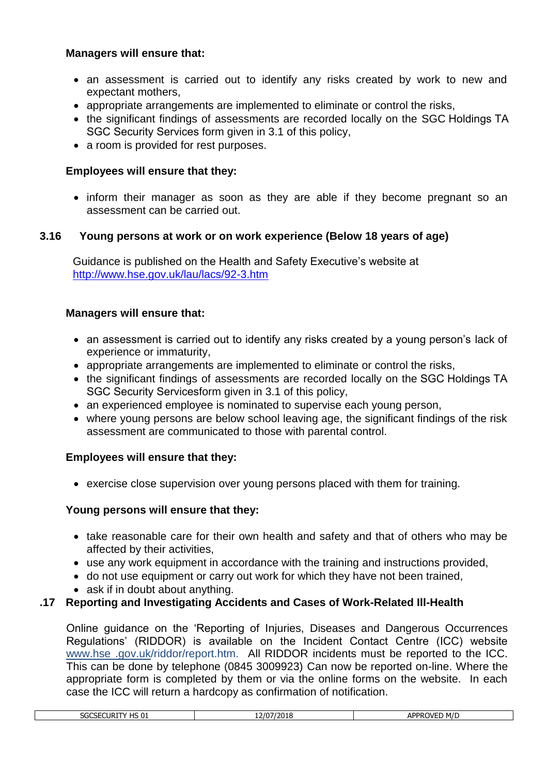# **Managers will ensure that:**

- an assessment is carried out to identify any risks created by work to new and expectant mothers,
- appropriate arrangements are implemented to eliminate or control the risks,
- the significant findings of assessments are recorded locally on the SGC Holdings TA SGC Security Services form given in 3.1 of this policy,
- a room is provided for rest purposes.

# **Employees will ensure that they:**

• inform their manager as soon as they are able if they become pregnant so an assessment can be carried out.

# **3.16 Young persons at work or on work experience (Below 18 years of age)**

Guidance is published on the Health and Safety Executive's website at <http://www.hse.gov.uk/lau/lacs/92-3.htm>

#### **Managers will ensure that:**

- an assessment is carried out to identify any risks created by a young person's lack of experience or immaturity,
- appropriate arrangements are implemented to eliminate or control the risks,
- the significant findings of assessments are recorded locally on the SGC Holdings TA SGC Security Servicesform given in 3.1 of this policy,
- an experienced employee is nominated to supervise each young person,
- where young persons are below school leaving age, the significant findings of the risk assessment are communicated to those with parental control.

#### **Employees will ensure that they:**

• exercise close supervision over young persons placed with them for training.

# **Young persons will ensure that they:**

- take reasonable care for their own health and safety and that of others who may be affected by their activities,
- use any work equipment in accordance with the training and instructions provided,
- do not use equipment or carry out work for which they have not been trained,
- ask if in doubt about anything.

# **.17 Reporting and Investigating Accidents and Cases of Work-Related Ill-Health**

Online guidance on the 'Reporting of Injuries, Diseases and Dangerous Occurrences Regulations' (RIDDOR) is available on the Incident Contact Centre (ICC) website www.hse .gov.uk/riddor/report.htm. All RIDDOR incidents must be reported to the ICC. This can be done by telephone (0845 3009923) Can now be reported on-line. Where the appropriate form is completed by them or via the online forms on the website. In each case the ICC will return a hardcopy as confirmation of notification.

| HS 01<br>ECURITY<br>-----<br><b>JULJE</b> | 7/07<br>7/2018 | <b>∆PPR∩VFΓ</b><br>M/L<br>Ηr |
|-------------------------------------------|----------------|------------------------------|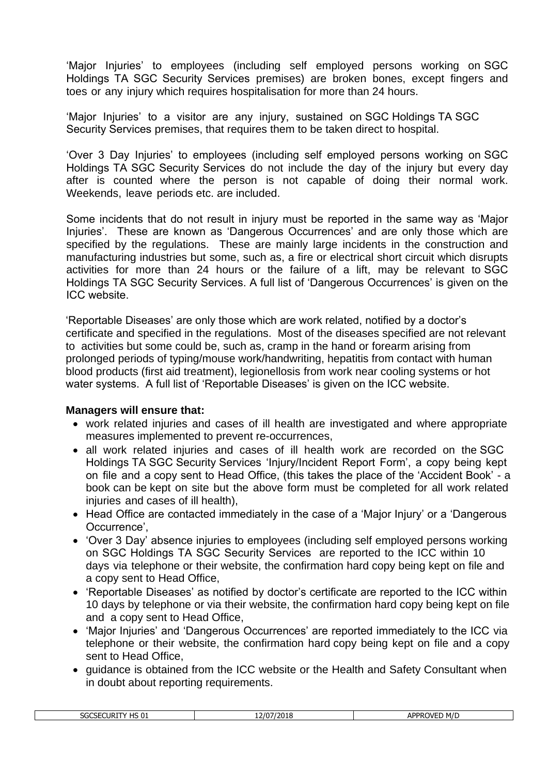'Major Injuries' to employees (including self employed persons working on SGC Holdings TA SGC Security Services premises) are broken bones, except fingers and toes or any injury which requires hospitalisation for more than 24 hours.

'Major Injuries' to a visitor are any injury, sustained on SGC Holdings TA SGC Security Services premises, that requires them to be taken direct to hospital.

'Over 3 Day Injuries' to employees (including self employed persons working on SGC Holdings TA SGC Security Services do not include the day of the injury but every day after is counted where the person is not capable of doing their normal work. Weekends, leave periods etc. are included.

Some incidents that do not result in injury must be reported in the same way as 'Major Injuries'. These are known as 'Dangerous Occurrences' and are only those which are specified by the regulations. These are mainly large incidents in the construction and manufacturing industries but some, such as, a fire or electrical short circuit which disrupts activities for more than 24 hours or the failure of a lift, may be relevant to SGC Holdings TA SGC Security Services. A full list of 'Dangerous Occurrences' is given on the ICC website.

'Reportable Diseases' are only those which are work related, notified by a doctor's certificate and specified in the regulations. Most of the diseases specified are not relevant to activities but some could be, such as, cramp in the hand or forearm arising from prolonged periods of typing/mouse work/handwriting, hepatitis from contact with human blood products (first aid treatment), legionellosis from work near cooling systems or hot water systems. A full list of 'Reportable Diseases' is given on the ICC website.

#### **Managers will ensure that:**

- work related injuries and cases of ill health are investigated and where appropriate measures implemented to prevent re-occurrences,
- all work related injuries and cases of ill health work are recorded on the SGC Holdings TA SGC Security Services 'Injury/Incident Report Form', a copy being kept on file and a copy sent to Head Office, (this takes the place of the 'Accident Book' - a book can be kept on site but the above form must be completed for all work related injuries and cases of ill health),
- Head Office are contacted immediately in the case of a 'Major Injury' or a 'Dangerous Occurrence',
- 'Over 3 Day' absence injuries to employees (including self employed persons working on SGC Holdings TA SGC Security Services are reported to the ICC within 10 days via telephone or their website, the confirmation hard copy being kept on file and a copy sent to Head Office,
- 'Reportable Diseases' as notified by doctor's certificate are reported to the ICC within 10 days by telephone or via their website, the confirmation hard copy being kept on file and a copy sent to Head Office,
- 'Major Injuries' and 'Dangerous Occurrences' are reported immediately to the ICC via telephone or their website, the confirmation hard copy being kept on file and a copy sent to Head Office,
- guidance is obtained from the ICC website or the Health and Safety Consultant when in doubt about reporting requirements.

| $\overline{11}$ $\overline{0}$ $\overline{0}$<br>SGCSECURIT<br>$\cdot$<br><b>H201</b> | 12/07/2018<br>-- | APPROVE <sup>®</sup><br>≀ M/L<br>ת ע<br>ור<br>. L D |
|---------------------------------------------------------------------------------------|------------------|-----------------------------------------------------|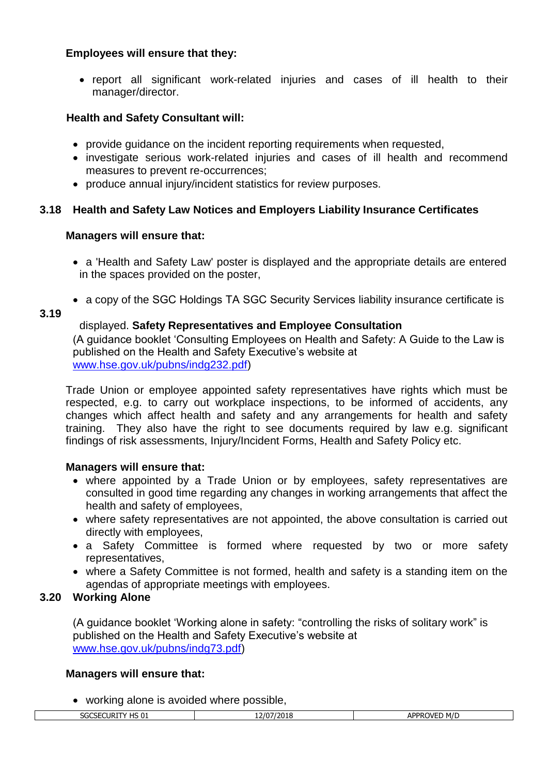### **Employees will ensure that they:**

• report all significant work-related injuries and cases of ill health to their manager/director.

# **Health and Safety Consultant will:**

- provide guidance on the incident reporting requirements when requested,
- investigate serious work-related injuries and cases of ill health and recommend measures to prevent re-occurrences;
- produce annual injury/incident statistics for review purposes.

# **3.18 Health and Safety Law Notices and Employers Liability Insurance Certificates**

#### **Managers will ensure that:**

- a 'Health and Safety Law' poster is displayed and the appropriate details are entered in the spaces provided on the poster,
- a copy of the SGC Holdings TA SGC Security Services liability insurance certificate is

#### **3.19**

# displayed. **Safety Representatives and Employee Consultation**

(A guidance booklet 'Consulting Employees on Health and Safety: A Guide to the Law is published on the Health and Safety Executive's website at [www.hse.gov.uk/pubns/indg232.pdf\)](http://www.hse.gov.uk/pubns/indg232.pdf)

Trade Union or employee appointed safety representatives have rights which must be respected, e.g. to carry out workplace inspections, to be informed of accidents, any changes which affect health and safety and any arrangements for health and safety training. They also have the right to see documents required by law e.g. significant findings of risk assessments, Injury/Incident Forms, Health and Safety Policy etc.

#### **Managers will ensure that:**

- where appointed by a Trade Union or by employees, safety representatives are consulted in good time regarding any changes in working arrangements that affect the health and safety of employees,
- where safety representatives are not appointed, the above consultation is carried out directly with employees,
- a Safety Committee is formed where requested by two or more safety representatives,
- where a Safety Committee is not formed, health and safety is a standing item on the agendas of appropriate meetings with employees.

#### **3.20 Working Alone**

(A guidance booklet 'Working alone in safety: "controlling the risks of solitary work" is published on the Health and Safety Executive's website at [www.hse.gov.uk/pubns/indg73.pdf\)](http://www.hse.gov.uk/pubns/indg73.pdf)

#### **Managers will ensure that:**

• working alone is avoided where possible,

| பட்ட<br>----<br>CSECURIT<br>7UC<br>. اب دا | 12/07/2018<br>-- | <b>APPROVE</b><br>M/D |
|--------------------------------------------|------------------|-----------------------|
|                                            |                  |                       |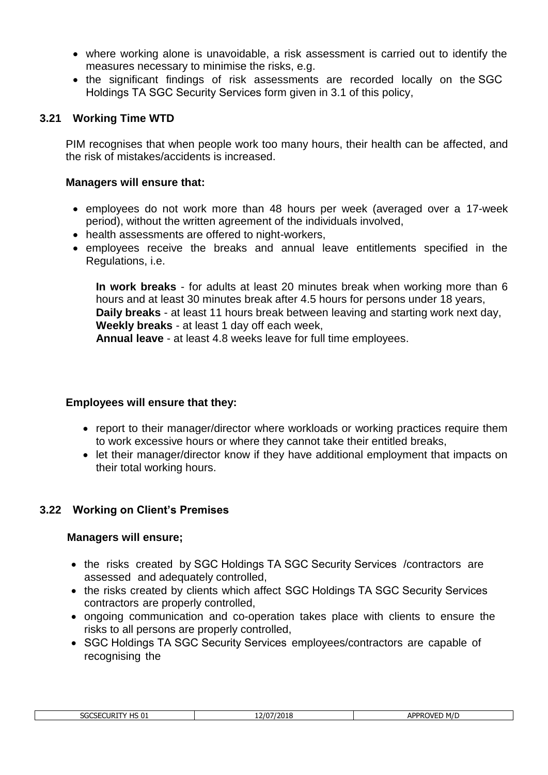- where working alone is unavoidable, a risk assessment is carried out to identify the measures necessary to minimise the risks, e.g.
- the significant findings of risk assessments are recorded locally on the SGC Holdings TA SGC Security Services form given in 3.1 of this policy,

### **3.21 Working Time WTD**

PIM recognises that when people work too many hours, their health can be affected, and the risk of mistakes/accidents is increased.

#### **Managers will ensure that:**

- employees do not work more than 48 hours per week (averaged over a 17-week period), without the written agreement of the individuals involved,
- health assessments are offered to night-workers,
- employees receive the breaks and annual leave entitlements specified in the Regulations, i.e.

**In work breaks** - for adults at least 20 minutes break when working more than 6 hours and at least 30 minutes break after 4.5 hours for persons under 18 years, **Daily breaks** - at least 11 hours break between leaving and starting work next day, **Weekly breaks** - at least 1 day off each week,

**Annual leave** - at least 4.8 weeks leave for full time employees.

#### **Employees will ensure that they:**

- report to their manager/director where workloads or working practices require them to work excessive hours or where they cannot take their entitled breaks,
- let their manager/director know if they have additional employment that impacts on their total working hours.

#### **3.22 Working on Client's Premises**

#### **Managers will ensure;**

- the risks created by SGC Holdings TA SGC Security Services / contractors are assessed and adequately controlled,
- the risks created by clients which affect SGC Holdings TA SGC Security Services contractors are properly controlled,
- ongoing communication and co-operation takes place with clients to ensure the risks to all persons are properly controlled,
- SGC Holdings TA SGC Security Services employees/contractors are capable of recognising the

| <b>HS 01</b><br>3000E011BTB<br>SGCSECURIT<br>- 17 | 2/07/2018<br>-- | M/D<br><b>APPROVED</b> |
|---------------------------------------------------|-----------------|------------------------|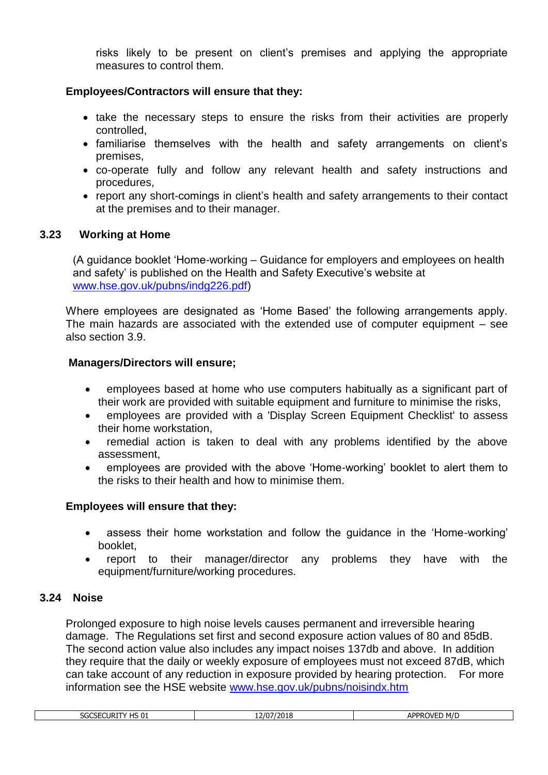risks likely to be present on client's premises and applying the appropriate measures to control them.

# **Employees/Contractors will ensure that they:**

- take the necessary steps to ensure the risks from their activities are properly controlled,
- familiarise themselves with the health and safety arrangements on client's premises,
- co-operate fully and follow any relevant health and safety instructions and procedures,
- report any short-comings in client's health and safety arrangements to their contact at the premises and to their manager.

# **3.23 Working at Home**

(A guidance booklet 'Home-working – Guidance for employers and employees on health and safety' is published on the Health and Safety Executive's website at [www.hse.gov.uk/pubns/indg226.pdf\)](http://www.hse.gov.uk/pubns/indg226.pdf)

Where employees are designated as 'Home Based' the following arrangements apply. The main hazards are associated with the extended use of computer equipment – see also section 3.9.

#### **Managers/Directors will ensure;**

- employees based at home who use computers habitually as a significant part of their work are provided with suitable equipment and furniture to minimise the risks,
- employees are provided with a 'Display Screen Equipment Checklist' to assess their home workstation,
- remedial action is taken to deal with any problems identified by the above assessment,
- employees are provided with the above 'Home-working' booklet to alert them to the risks to their health and how to minimise them.

#### **Employees will ensure that they:**

- assess their home workstation and follow the guidance in the 'Home-working' booklet,
- report to their manager/director any problems they have with the equipment/furniture/working procedures.

#### **3.24 Noise**

Prolonged exposure to high noise levels causes permanent and irreversible hearing damage. The Regulations set first and second exposure action values of 80 and 85dB. The second action value also includes any impact noises 137db and above. In addition they require that the daily or weekly exposure of employees must not exceed 87dB, which can take account of any reduction in exposure provided by hearing protection. For more information see the HSE website [www.hse.gov.uk/pubns/noisindx.htm](http://www.hse.gov.uk/pubns/noisindx.htm)

| י היו<br>Curi"<br>-----<br>56C5E1<br>נט כה. | 7/2018<br>1/0,<br>-- | $APPP^{\wedge}$<br>M/E<br>$\overline{\phantom{a}}$<br>7VFI<br>▿∟◡ |
|---------------------------------------------|----------------------|-------------------------------------------------------------------|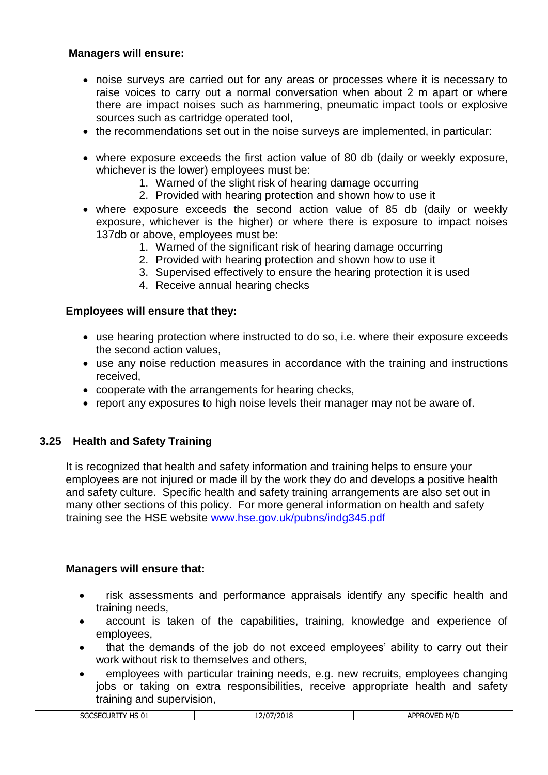# **Managers will ensure:**

- noise surveys are carried out for any areas or processes where it is necessary to raise voices to carry out a normal conversation when about 2 m apart or where there are impact noises such as hammering, pneumatic impact tools or explosive sources such as cartridge operated tool,
- the recommendations set out in the noise surveys are implemented, in particular:
- where exposure exceeds the first action value of 80 db (daily or weekly exposure, whichever is the lower) employees must be:
	- 1. Warned of the slight risk of hearing damage occurring
	- 2. Provided with hearing protection and shown how to use it
- where exposure exceeds the second action value of 85 db (daily or weekly exposure, whichever is the higher) or where there is exposure to impact noises 137db or above, employees must be:
	- 1. Warned of the significant risk of hearing damage occurring
	- 2. Provided with hearing protection and shown how to use it
	- 3. Supervised effectively to ensure the hearing protection it is used
	- 4. Receive annual hearing checks

# **Employees will ensure that they:**

- use hearing protection where instructed to do so, i.e. where their exposure exceeds the second action values,
- use any noise reduction measures in accordance with the training and instructions received,
- cooperate with the arrangements for hearing checks,
- report any exposures to high noise levels their manager may not be aware of.

#### **3.25 Health and Safety Training**

It is recognized that health and safety information and training helps to ensure your employees are not injured or made ill by the work they do and develops a positive health and safety culture. Specific health and safety training arrangements are also set out in many other sections of this policy. For more general information on health and safety training see the HSE website [www.hse.gov.uk/pubns/indg345.pdf](http://www.hse.gov.uk/pubns/indg345.pdf)

#### **Managers will ensure that:**

- risk assessments and performance appraisals identify any specific health and training needs,
- account is taken of the capabilities, training, knowledge and experience of employees,
- that the demands of the job do not exceed employees' ability to carry out their work without risk to themselves and others,
- employees with particular training needs, e.g. new recruits, employees changing jobs or taking on extra responsibilities, receive appropriate health and safety training and supervision,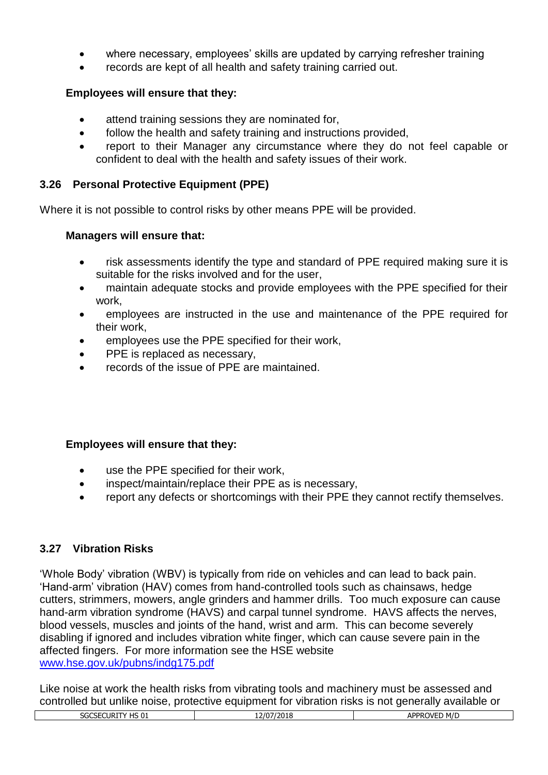- where necessary, employees' skills are updated by carrying refresher training
- records are kept of all health and safety training carried out.

# **Employees will ensure that they:**

- attend training sessions they are nominated for,
- follow the health and safety training and instructions provided,
- report to their Manager any circumstance where they do not feel capable or confident to deal with the health and safety issues of their work.

# **3.26 Personal Protective Equipment (PPE)**

Where it is not possible to control risks by other means PPE will be provided.

#### **Managers will ensure that:**

- risk assessments identify the type and standard of PPE required making sure it is suitable for the risks involved and for the user,
- maintain adequate stocks and provide employees with the PPE specified for their work,
- employees are instructed in the use and maintenance of the PPE required for their work,
- employees use the PPE specified for their work,
- PPE is replaced as necessary,
- records of the issue of PPE are maintained.

# **Employees will ensure that they:**

- use the PPE specified for their work,
- inspect/maintain/replace their PPE as is necessary,
- report any defects or shortcomings with their PPE they cannot rectify themselves.

# **3.27 Vibration Risks**

'Whole Body' vibration (WBV) is typically from ride on vehicles and can lead to back pain. 'Hand-arm' vibration (HAV) comes from hand-controlled tools such as chainsaws, hedge cutters, strimmers, mowers, angle grinders and hammer drills. Too much exposure can cause hand-arm vibration syndrome (HAVS) and carpal tunnel syndrome. HAVS affects the nerves, blood vessels, muscles and joints of the hand, wrist and arm. This can become severely disabling if ignored and includes vibration white finger, which can cause severe pain in the affected fingers. For more information see the HSE website [www.hse.gov.uk/pubns/indg175.pdf](http://www.hse.gov.uk/pubns/indg175.pdf)

Like noise at work the health risks from vibrating tools and machinery must be assessed and controlled but unlike noise, protective equipment for vibration risks is not generally available or

| M/D<br>--<br>י הו<br>,,,,,,<br>∆DDF<br><br>וF ו<br>אטכ<br>תכ.<br>:UKI<br>בט כוו<br>. .<br>nı<br>∠ບ⊥ບ<br><br>-- |  |  |
|----------------------------------------------------------------------------------------------------------------|--|--|
|                                                                                                                |  |  |